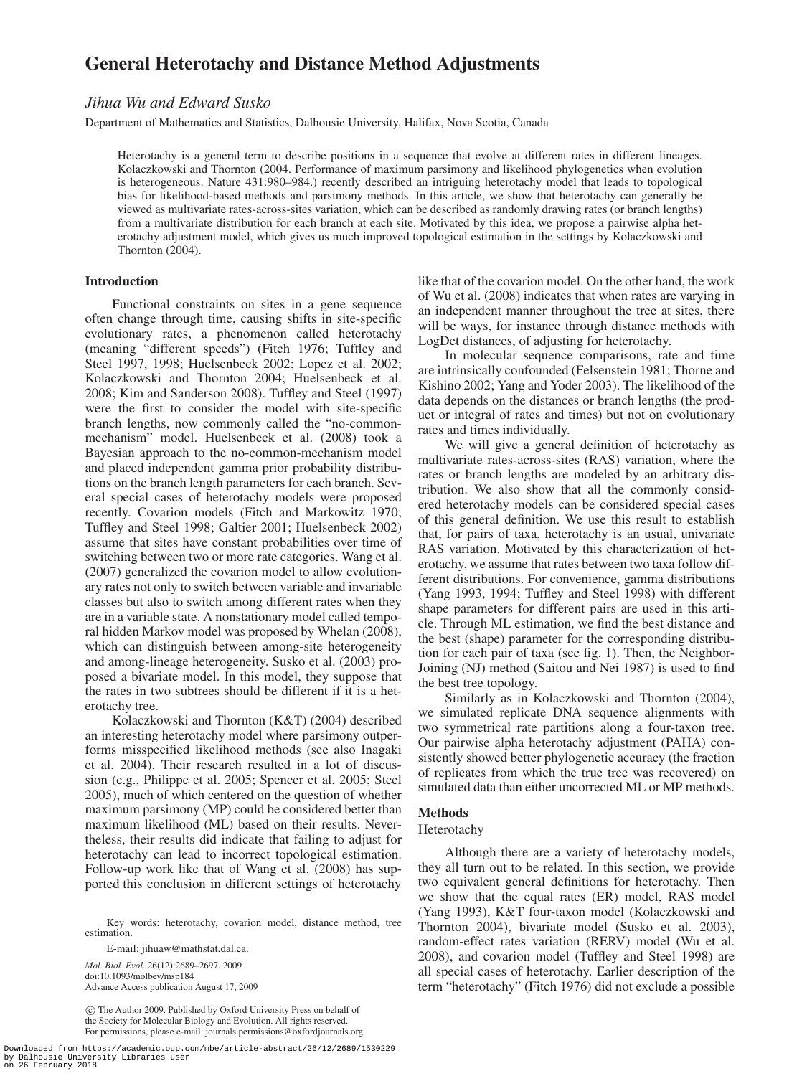# **General Heterotachy and Distance Method Adjustments**

# *Jihua Wu and Edward Susko*

Department of Mathematics and Statistics, Dalhousie University, Halifax, Nova Scotia, Canada

Heterotachy is a general term to describe positions in a sequence that evolve at different rates in different lineages. Kolaczkowski and Thornton (2004. Performance of maximum parsimony and likelihood phylogenetics when evolution is heterogeneous. Nature 431:980–984.) recently described an intriguing heterotachy model that leads to topological bias for likelihood-based methods and parsimony methods. In this article, we show that heterotachy can generally be viewed as multivariate rates-across-sites variation, which can be described as randomly drawing rates (or branch lengths) from a multivariate distribution for each branch at each site. Motivated by this idea, we propose a pairwise alpha heterotachy adjustment model, which gives us much improved topological estimation in the settings by Kolaczkowski and Thornton (2004).

# **Introduction**

Functional constraints on sites in a gene sequence often change through time, causing shifts in site-specific evolutionary rates, a phenomenon called heterotachy (meaning "different speeds") (Fitch 1976; Tuffley and Steel 1997, 1998; Huelsenbeck 2002; Lopez et al. 2002; Kolaczkowski and Thornton 2004; Huelsenbeck et al. 2008; Kim and Sanderson 2008). Tuffley and Steel (1997) were the first to consider the model with site-specific branch lengths, now commonly called the "no-commonmechanism" model. Huelsenbeck et al. (2008) took a Bayesian approach to the no-common-mechanism model and placed independent gamma prior probability distributions on the branch length parameters for each branch. Several special cases of heterotachy models were proposed recently. Covarion models (Fitch and Markowitz 1970; Tuffley and Steel 1998; Galtier 2001; Huelsenbeck 2002) assume that sites have constant probabilities over time of switching between two or more rate categories. Wang et al. (2007) generalized the covarion model to allow evolutionary rates not only to switch between variable and invariable classes but also to switch among different rates when they are in a variable state. A nonstationary model called temporal hidden Markov model was proposed by Whelan (2008), which can distinguish between among-site heterogeneity and among-lineage heterogeneity. Susko et al. (2003) proposed a bivariate model. In this model, they suppose that the rates in two subtrees should be different if it is a heterotachy tree.

Kolaczkowski and Thornton (K&T) (2004) described an interesting heterotachy model where parsimony outperforms misspecified likelihood methods (see also Inagaki et al. 2004). Their research resulted in a lot of discussion (e.g., Philippe et al. 2005; Spencer et al. 2005; Steel 2005), much of which centered on the question of whether maximum parsimony (MP) could be considered better than maximum likelihood (ML) based on their results. Nevertheless, their results did indicate that failing to adjust for heterotachy can lead to incorrect topological estimation. Follow-up work like that of Wang et al. (2008) has supported this conclusion in different settings of heterotachy

Key words: heterotachy, covarion model, distance method, tree estimation.

E-mail: jihuaw@mathstat.dal.ca.

*Mol. Biol. Evol*. 26(12):2689–2697. 2009 doi:10.1093/molbev/msp184 Advance Access publication August 17, 2009

c The Author 2009. Published by Oxford University Press on behalf of the Society for Molecular Biology and Evolution. All rights reserved. For permissions, please e-mail: journals.permissions@oxfordjournals.org

Downloaded from https://academic.oup.com/mbe/article-abstract/26/12/2689/1530229 by Dalhousie University Libraries user on 26 February 2018

like that of the covarion model. On the other hand, the work of Wu et al. (2008) indicates that when rates are varying in an independent manner throughout the tree at sites, there will be ways, for instance through distance methods with LogDet distances, of adjusting for heterotachy.

In molecular sequence comparisons, rate and time are intrinsically confounded (Felsenstein 1981; Thorne and Kishino 2002; Yang and Yoder 2003). The likelihood of the data depends on the distances or branch lengths (the product or integral of rates and times) but not on evolutionary rates and times individually.

We will give a general definition of heterotachy as multivariate rates-across-sites (RAS) variation, where the rates or branch lengths are modeled by an arbitrary distribution. We also show that all the commonly considered heterotachy models can be considered special cases of this general definition. We use this result to establish that, for pairs of taxa, heterotachy is an usual, univariate RAS variation. Motivated by this characterization of heterotachy, we assume that rates between two taxa follow different distributions. For convenience, gamma distributions (Yang 1993, 1994; Tuffley and Steel 1998) with different shape parameters for different pairs are used in this article. Through ML estimation, we find the best distance and the best (shape) parameter for the corresponding distribution for each pair of taxa (see fig. 1). Then, the Neighbor-Joining (NJ) method (Saitou and Nei 1987) is used to find the best tree topology.

Similarly as in Kolaczkowski and Thornton (2004), we simulated replicate DNA sequence alignments with two symmetrical rate partitions along a four-taxon tree. Our pairwise alpha heterotachy adjustment (PAHA) consistently showed better phylogenetic accuracy (the fraction of replicates from which the true tree was recovered) on simulated data than either uncorrected ML or MP methods.

# **Methods**

# Heterotachy

Although there are a variety of heterotachy models, they all turn out to be related. In this section, we provide two equivalent general definitions for heterotachy. Then we show that the equal rates (ER) model, RAS model (Yang 1993), K&T four-taxon model (Kolaczkowski and Thornton 2004), bivariate model (Susko et al. 2003), random-effect rates variation (RERV) model (Wu et al. 2008), and covarion model (Tuffley and Steel 1998) are all special cases of heterotachy. Earlier description of the term "heterotachy" (Fitch 1976) did not exclude a possible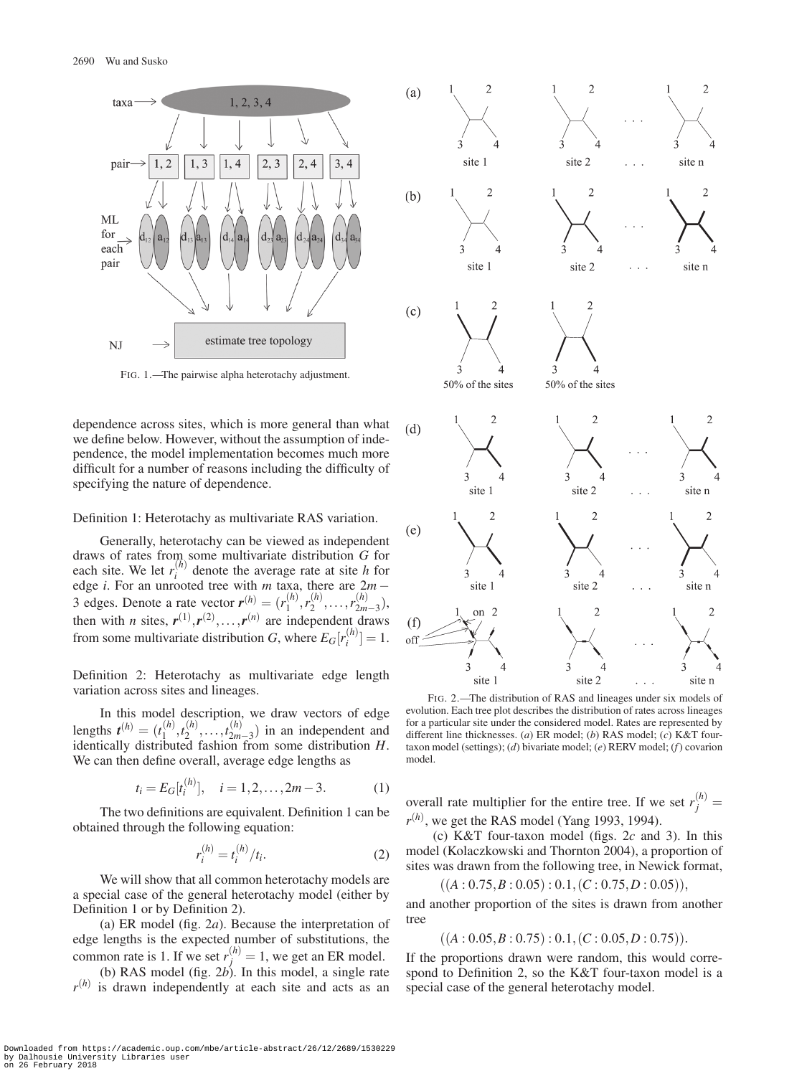

FIG. 1.—The pairwise alpha heterotachy adjustment.

dependence across sites, which is more general than what we define below. However, without the assumption of independence, the model implementation becomes much more difficult for a number of reasons including the difficulty of specifying the nature of dependence.

#### Definition 1: Heterotachy as multivariate RAS variation.

Generally, heterotachy can be viewed as independent draws of rates from some multivariate distribution *G* for each site. We let  $r_i^{(h)}$  denote the average rate at site *h* for edge *i*. For an unrooted tree with *m* taxa, there are 2*m* − 3 edges. Denote a rate vector  $\mathbf{r}^{(h)} = (r_1^{(h)}, r_2^{(h)}, \dots, r_{2m-3}^{(h)}),$ then with *n* sites,  $r^{(1)}$ ,  $r^{(2)}$ , ...,  $r^{(n)}$  are independent draws from some multivariate distribution *G*, where  $E_G[r_i^{(h)}] = 1$ .

Definition 2: Heterotachy as multivariate edge length variation across sites and lineages.

In this model description, we draw vectors of edge lengths  $t^{(h)} = (t_1^{(h)}, t_2^{(h)}, \ldots, t_{2m-3}^{(h)})$  in an independent and identically distributed for the same come distribution *II* identically distributed fashion from some distribution *H*. We can then define overall, average edge lengths as

$$
t_i = E_G[t_i^{(h)}], \quad i = 1, 2, \dots, 2m - 3. \tag{1}
$$

The two definitions are equivalent. Definition 1 can be obtained through the following equation:

$$
r_i^{(h)} = t_i^{(h)}/t_i.
$$
 (2)

We will show that all common heterotachy models are a special case of the general heterotachy model (either by Definition 1 or by Definition 2).

(a) ER model (fig. 2*a*). Because the interpretation of edge lengths is the expected number of substitutions, the common rate is 1. If we set  $r_j^{(h)} = 1$ , we get an ER model.

(b) RAS model (fig. 2*b*). In this model, a single rate  $r^{(h)}$  is drawn independently at each site and acts as an



FIG. 2.—The distribution of RAS and lineages under six models of evolution. Each tree plot describes the distribution of rates across lineages for a particular site under the considered model. Rates are represented by different line thicknesses. (*a*) ER model; (*b*) RAS model; (*c*) K&T fourtaxon model (settings); (*d*) bivariate model; (*e*) RERV model; (*f*) covarion model.

overall rate multiplier for the entire tree. If we set  $r_j^{(h)} =$  $r^{(h)}$ , we get the RAS model (Yang 1993, 1994).

(c) K&T four-taxon model (figs. 2*c* and 3). In this model (Kolaczkowski and Thornton 2004), a proportion of sites was drawn from the following tree, in Newick format,

$$
((A: 0.75, B: 0.05): 0.1, (C: 0.75, D: 0.05)),
$$

and another proportion of the sites is drawn from another tree

 $((A: 0.05, B: 0.75): 0.1, (C: 0.05, D: 0.75)).$ 

If the proportions drawn were random, this would correspond to Definition 2, so the K&T four-taxon model is a special case of the general heterotachy model.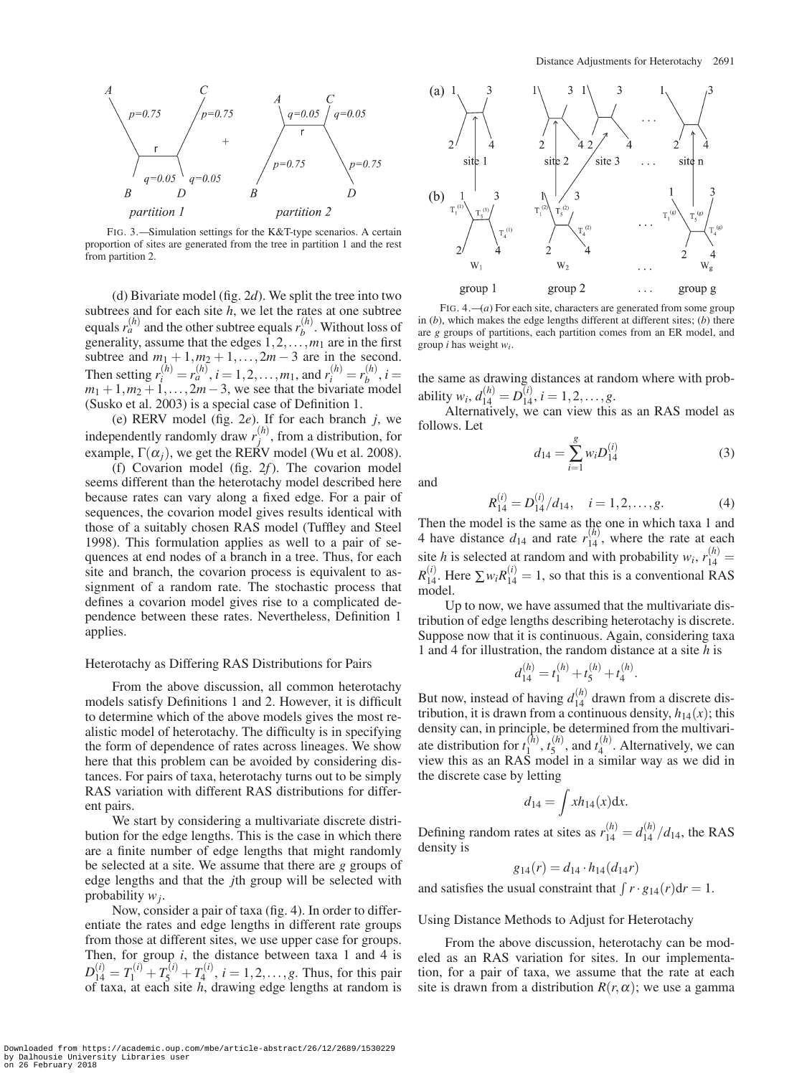

FIG. 3.—Simulation settings for the K&T-type scenarios. A certain proportion of sites are generated from the tree in partition 1 and the rest from partition 2.

(d) Bivariate model (fig. 2*d*). We split the tree into two subtrees and for each site *h*, we let the rates at one subtree equals  $r_a^{(h)}$  and the other subtree equals  $r_b^{(h)}$ . Without loss of generality, assume that the edges  $1, 2, \ldots, m_1$  are in the first subtree and  $m_1 + 1, m_2 + 1, \ldots, 2m - 3$  are in the second. Then setting  $r_i^{(h)} = r_a^{(h)}$ ,  $i = 1, 2, ..., m_1$ , and  $r_i^{(h)} = r_b^{(h)}$ ,  $i =$  $m_1 + 1, m_2 + 1, \ldots, 2m - 3$ , we see that the bivariate model (Susko et al. 2003) is a special case of Definition 1.

(e) RERV model (fig. 2*e*). If for each branch *j*, we independently randomly draw  $r_j^{(h)}$ , from a distribution, for example,  $\Gamma(\alpha_i)$ , we get the RERV model (Wu et al. 2008).

(f) Covarion model (fig. 2*f*). The covarion model seems different than the heterotachy model described here because rates can vary along a fixed edge. For a pair of sequences, the covarion model gives results identical with those of a suitably chosen RAS model (Tuffley and Steel 1998). This formulation applies as well to a pair of sequences at end nodes of a branch in a tree. Thus, for each site and branch, the covarion process is equivalent to assignment of a random rate. The stochastic process that defines a covarion model gives rise to a complicated dependence between these rates. Nevertheless, Definition 1 applies.

#### Heterotachy as Differing RAS Distributions for Pairs

From the above discussion, all common heterotachy models satisfy Definitions 1 and 2. However, it is difficult to determine which of the above models gives the most realistic model of heterotachy. The difficulty is in specifying the form of dependence of rates across lineages. We show here that this problem can be avoided by considering distances. For pairs of taxa, heterotachy turns out to be simply RAS variation with different RAS distributions for different pairs.

We start by considering a multivariate discrete distribution for the edge lengths. This is the case in which there are a finite number of edge lengths that might randomly be selected at a site. We assume that there are *g* groups of edge lengths and that the *j*th group will be selected with probability *wj*.

Now, consider a pair of taxa (fig. 4). In order to differentiate the rates and edge lengths in different rate groups from those at different sites, we use upper case for groups. Then, for group *i*, the distance between taxa 1 and 4 is  $D_{14}^{(i)} = T_1^{(i)} + T_5^{(i)} + T_4^{(i)}$ ,  $i = 1, 2, \dots, g$ . Thus, for this pair of taxa, at each site *h*, drawing edge lengths at random is



FIG. 4.—(*a*) For each site, characters are generated from some group in (*b*), which makes the edge lengths different at different sites; (*b*) there are *g* groups of partitions, each partition comes from an ER model, and group *i* has weight *wi*.

the same as drawing distances at random where with probability  $w_i$ ,  $d_{14}^{(h)} = D_{14}^{(i)}$ ,  $i = 1, 2, \ldots, g$ .

Alternatively, we can view this as an RAS model as follows. Let

$$
d_{14} = \sum_{i=1}^{g} w_i D_{14}^{(i)}
$$
 (3)

and

$$
R_{14}^{(i)} = D_{14}^{(i)}/d_{14}, \quad i = 1, 2, \dots, g.
$$
 (4)

Then the model is the same as the one in which taxa 1 and 4 have distance  $d_{14}$  and rate  $r_{14}^{(h)}$ , where the rate at each site *h* is selected at random and with probability  $w_i$ ,  $r_{14}^{(h)} =$  $R_{14}^{(i)}$ . Here  $\sum w_i R_{14}^{(i)} = 1$ , so that this is a conventional RAS model.

Up to now, we have assumed that the multivariate distribution of edge lengths describing heterotachy is discrete. Suppose now that it is continuous. Again, considering taxa 1 and 4 for illustration, the random distance at a site *h* is

$$
d_{14}^{(h)} = t_1^{(h)} + t_5^{(h)} + t_4^{(h)}.
$$

But now, instead of having  $d_{14}^{(h)}$  drawn from a discrete distribution, it is drawn from a continuous density,  $h_{14}(x)$ ; this density can, in principle, be determined from the multivariate distribution for  $t_1^{(h)}$ ,  $t_5^{(h)}$ , and  $t_4^{(h)}$ . Alternatively, we can view this as an RAS model in a similar way as we did in the discrete case by letting

$$
d_{14} = \int x h_{14}(x) \mathrm{d}x.
$$

Defining random rates at sites as  $r_{14}^{(h)} = d_{14}^{(h)}/d_{14}$ , the RAS density is

$$
g_{14}(r) = d_{14} \cdot h_{14}(d_{14}r)
$$

and satisfies the usual constraint that  $\int r \cdot g_{14}(r) dr = 1$ .

Using Distance Methods to Adjust for Heterotachy

From the above discussion, heterotachy can be modeled as an RAS variation for sites. In our implementation, for a pair of taxa, we assume that the rate at each site is drawn from a distribution  $R(r, \alpha)$ ; we use a gamma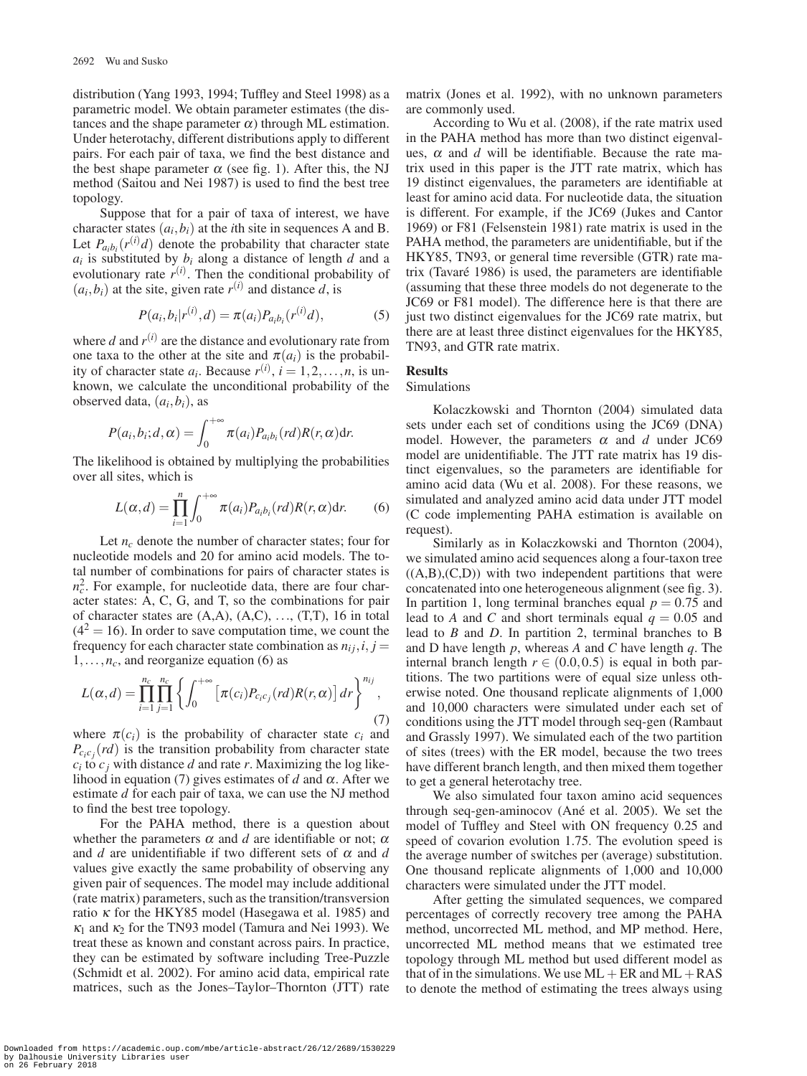distribution (Yang 1993, 1994; Tuffley and Steel 1998) as a parametric model. We obtain parameter estimates (the distances and the shape parameter  $\alpha$ ) through ML estimation. Under heterotachy, different distributions apply to different pairs. For each pair of taxa, we find the best distance and the best shape parameter  $\alpha$  (see fig. 1). After this, the NJ method (Saitou and Nei 1987) is used to find the best tree topology.

Suppose that for a pair of taxa of interest, we have character states  $(a_i, b_i)$  at the *i*th site in sequences A and B. Let  $P_{a_i b_i}(r^{(i)}d)$  denote the probability that character state  $a_i$  is substituted by  $b_i$  along a distance of length  $d$  and a evolutionary rate  $r^{(i)}$ . Then the conditional probability of  $(a_i, b_i)$  at the site, given rate  $r^{(i)}$  and distance *d*, is

$$
P(a_i, b_i | r^{(i)}, d) = \pi(a_i) P_{a_i b_i}(r^{(i)} d), \tag{5}
$$

where  $d$  and  $r^{(i)}$  are the distance and evolutionary rate from one taxa to the other at the site and  $\pi(a_i)$  is the probability of character state  $a_i$ . Because  $r^{(i)}$ ,  $i = 1, 2, ..., n$ , is unknown, we calculate the unconditional probability of the observed data, (*ai*,*bi*), as

$$
P(a_i,b_i;d,\alpha) = \int_0^{+\infty} \pi(a_i) P_{a_i b_i}(rd) R(r,\alpha) dr.
$$

The likelihood is obtained by multiplying the probabilities over all sites, which is

$$
L(\alpha, d) = \prod_{i=1}^{n} \int_0^{+\infty} \pi(a_i) P_{a_i b_i}(rd) R(r, \alpha) dr.
$$
 (6)

Let  $n_c$  denote the number of character states; four for nucleotide models and 20 for amino acid models. The total number of combinations for pairs of character states is  $n_c^2$ . For example, for nucleotide data, there are four character states: A, C, G, and T, so the combinations for pair of character states are  $(A,A)$ ,  $(A,C)$ , ...,  $(T,T)$ , 16 in total  $(4<sup>2</sup> = 16)$ . In order to save computation time, we count the frequency for each character state combination as  $n_{ij}$ , *i*, *j* =  $1, \ldots, n_c$ , and reorganize equation (6) as

$$
L(\alpha,d)=\prod_{i=1}^{n_c}\prod_{j=1}^{n_c}\left\{\int_0^{+\infty}\left[\pi(c_i)P_{c_ic_j}(rd)R(r,\alpha)\right]dr\right\}^{n_{ij}},\tag{7}
$$

where  $\pi(c_i)$  is the probability of character state  $c_i$  and  $P_{c_i c_j}(rd)$  is the transition probability from character state  $c_i$  to  $c_j$  with distance *d* and rate *r*. Maximizing the log likelihood in equation (7) gives estimates of  $d$  and  $\alpha$ . After we estimate *d* for each pair of taxa, we can use the NJ method to find the best tree topology.

For the PAHA method, there is a question about whether the parameters  $\alpha$  and *d* are identifiable or not;  $\alpha$ and *d* are unidentifiable if two different sets of  $\alpha$  and *d* values give exactly the same probability of observing any given pair of sequences. The model may include additional (rate matrix) parameters, such as the transition/transversion ratio  $\kappa$  for the HKY85 model (Hasegawa et al. 1985) and  $\kappa_1$  and  $\kappa_2$  for the TN93 model (Tamura and Nei 1993). We treat these as known and constant across pairs. In practice, they can be estimated by software including Tree-Puzzle (Schmidt et al. 2002). For amino acid data, empirical rate matrices, such as the Jones–Taylor–Thornton (JTT) rate

matrix (Jones et al. 1992), with no unknown parameters are commonly used.

According to Wu et al. (2008), if the rate matrix used in the PAHA method has more than two distinct eigenvalues,  $\alpha$  and  $d$  will be identifiable. Because the rate matrix used in this paper is the JTT rate matrix, which has 19 distinct eigenvalues, the parameters are identifiable at least for amino acid data. For nucleotide data, the situation is different. For example, if the JC69 (Jukes and Cantor 1969) or F81 (Felsenstein 1981) rate matrix is used in the PAHA method, the parameters are unidentifiable, but if the HKY85, TN93, or general time reversible (GTR) rate matrix (Tavaré 1986) is used, the parameters are identifiable (assuming that these three models do not degenerate to the JC69 or F81 model). The difference here is that there are just two distinct eigenvalues for the JC69 rate matrix, but there are at least three distinct eigenvalues for the HKY85, TN93, and GTR rate matrix.

#### **Results**

#### Simulations

Kolaczkowski and Thornton (2004) simulated data sets under each set of conditions using the JC69 (DNA) model. However, the parameters  $\alpha$  and  $d$  under JC69 model are unidentifiable. The JTT rate matrix has 19 distinct eigenvalues, so the parameters are identifiable for amino acid data (Wu et al. 2008). For these reasons, we simulated and analyzed amino acid data under JTT model (C code implementing PAHA estimation is available on request).

Similarly as in Kolaczkowski and Thornton (2004), we simulated amino acid sequences along a four-taxon tree  $((A,B),(C,D))$  with two independent partitions that were concatenated into one heterogeneous alignment (see fig. 3). In partition 1, long terminal branches equal  $p = 0.75$  and lead to *A* and *C* and short terminals equal  $q = 0.05$  and lead to *B* and *D*. In partition 2, terminal branches to B and D have length *p*, whereas *A* and *C* have length *q*. The internal branch length  $r \in (0.0, 0.5)$  is equal in both partitions. The two partitions were of equal size unless otherwise noted. One thousand replicate alignments of 1,000 and 10,000 characters were simulated under each set of conditions using the JTT model through seq-gen (Rambaut and Grassly 1997). We simulated each of the two partition of sites (trees) with the ER model, because the two trees have different branch length, and then mixed them together to get a general heterotachy tree.

We also simulated four taxon amino acid sequences through seq-gen-aminocov (Ané et al. 2005). We set the model of Tuffley and Steel with ON frequency 0.25 and speed of covarion evolution 1.75. The evolution speed is the average number of switches per (average) substitution. One thousand replicate alignments of 1,000 and 10,000 characters were simulated under the JTT model.

After getting the simulated sequences, we compared percentages of correctly recovery tree among the PAHA method, uncorrected ML method, and MP method. Here, uncorrected ML method means that we estimated tree topology through ML method but used different model as that of in the simulations. We use  $ML + ER$  and  $ML + RAS$ to denote the method of estimating the trees always using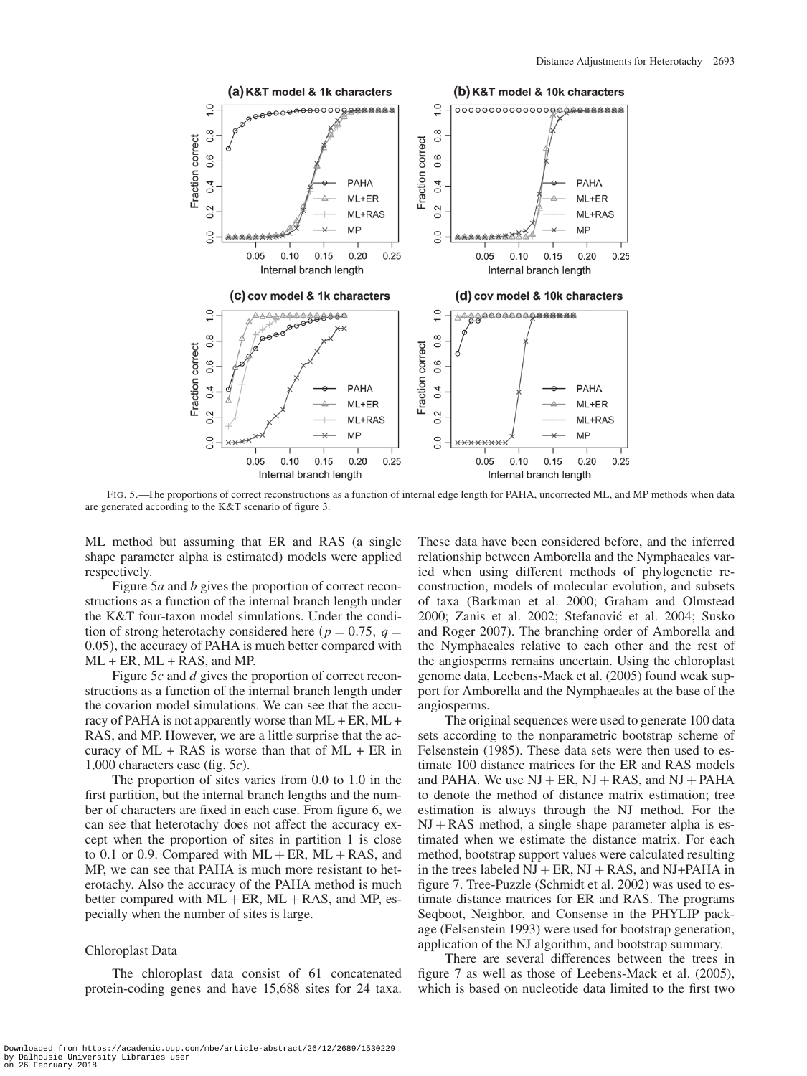

FIG. 5.—The proportions of correct reconstructions as a function of internal edge length for PAHA, uncorrected ML, and MP methods when data are generated according to the K&T scenario of figure 3.

ML method but assuming that ER and RAS (a single shape parameter alpha is estimated) models were applied respectively.

Figure 5*a* and *b* gives the proportion of correct reconstructions as a function of the internal branch length under the K&T four-taxon model simulations. Under the condition of strong heterotachy considered here ( $p = 0.75$ ,  $q =$ 0.05), the accuracy of PAHA is much better compared with ML + ER, ML + RAS, and MP.

Figure 5*c* and *d* gives the proportion of correct reconstructions as a function of the internal branch length under the covarion model simulations. We can see that the accuracy of PAHA is not apparently worse than ML + ER, ML + RAS, and MP. However, we are a little surprise that the accuracy of  $ML + RAS$  is worse than that of  $ML + ER$  in 1,000 characters case (fig. 5*c*).

The proportion of sites varies from 0.0 to 1.0 in the first partition, but the internal branch lengths and the number of characters are fixed in each case. From figure 6, we can see that heterotachy does not affect the accuracy except when the proportion of sites in partition 1 is close to 0.1 or 0.9. Compared with  $ML + ER$ ,  $ML + RAS$ , and MP, we can see that PAHA is much more resistant to heterotachy. Also the accuracy of the PAHA method is much better compared with  $ML + ER$ ,  $ML + RAS$ , and MP, especially when the number of sites is large.

# Chloroplast Data

The chloroplast data consist of 61 concatenated protein-coding genes and have 15,688 sites for 24 taxa.

These data have been considered before, and the inferred relationship between Amborella and the Nymphaeales varied when using different methods of phylogenetic reconstruction, models of molecular evolution, and subsets of taxa (Barkman et al. 2000; Graham and Olmstead 2000; Zanis et al. 2002; Stefanovic et al. 2004; Susko ´ and Roger 2007). The branching order of Amborella and the Nymphaeales relative to each other and the rest of the angiosperms remains uncertain. Using the chloroplast genome data, Leebens-Mack et al. (2005) found weak support for Amborella and the Nymphaeales at the base of the angiosperms.

The original sequences were used to generate 100 data sets according to the nonparametric bootstrap scheme of Felsenstein (1985). These data sets were then used to estimate 100 distance matrices for the ER and RAS models and PAHA. We use  $NI + ER$ ,  $NI + RAS$ , and  $NI + PAHA$ to denote the method of distance matrix estimation; tree estimation is always through the NJ method. For the  $NJ + RAS$  method, a single shape parameter alpha is estimated when we estimate the distance matrix. For each method, bootstrap support values were calculated resulting in the trees labeled  $NJ + ER$ ,  $NJ + RAS$ , and  $NJ + PAHA$  in figure 7. Tree-Puzzle (Schmidt et al. 2002) was used to estimate distance matrices for ER and RAS. The programs Seqboot, Neighbor, and Consense in the PHYLIP package (Felsenstein 1993) were used for bootstrap generation, application of the NJ algorithm, and bootstrap summary.

There are several differences between the trees in figure 7 as well as those of Leebens-Mack et al. (2005), which is based on nucleotide data limited to the first two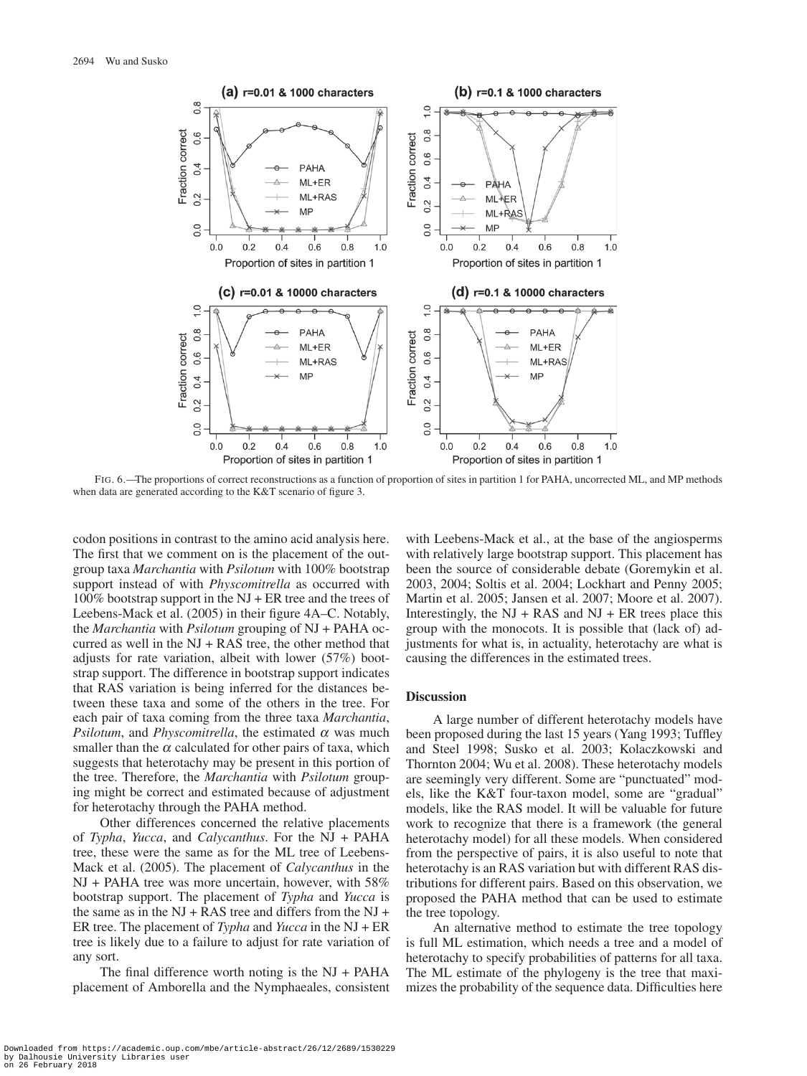

FIG. 6.—The proportions of correct reconstructions as a function of proportion of sites in partition 1 for PAHA, uncorrected ML, and MP methods when data are generated according to the K&T scenario of figure 3.

codon positions in contrast to the amino acid analysis here. The first that we comment on is the placement of the outgroup taxa *Marchantia* with *Psilotum* with 100% bootstrap support instead of with *Physcomitrella* as occurred with 100% bootstrap support in the NJ + ER tree and the trees of Leebens-Mack et al. (2005) in their figure 4A–C. Notably, the *Marchantia* with *Psilotum* grouping of NJ + PAHA occurred as well in the  $NJ + RAS$  tree, the other method that adjusts for rate variation, albeit with lower (57%) bootstrap support. The difference in bootstrap support indicates that RAS variation is being inferred for the distances between these taxa and some of the others in the tree. For each pair of taxa coming from the three taxa *Marchantia*, *Psilotum*, and *Physcomitrella*, the estimated  $\alpha$  was much smaller than the  $\alpha$  calculated for other pairs of taxa, which suggests that heterotachy may be present in this portion of the tree. Therefore, the *Marchantia* with *Psilotum* grouping might be correct and estimated because of adjustment for heterotachy through the PAHA method.

Other differences concerned the relative placements of *Typha*, *Yucca*, and *Calycanthus*. For the NJ + PAHA tree, these were the same as for the ML tree of Leebens-Mack et al. (2005). The placement of *Calycanthus* in the NJ + PAHA tree was more uncertain, however, with 58% bootstrap support. The placement of *Typha* and *Yucca* is the same as in the NJ + RAS tree and differs from the NJ + ER tree. The placement of *Typha* and *Yucca* in the NJ + ER tree is likely due to a failure to adjust for rate variation of any sort.

The final difference worth noting is the  $NI + PAHA$ placement of Amborella and the Nymphaeales, consistent

with Leebens-Mack et al., at the base of the angiosperms with relatively large bootstrap support. This placement has been the source of considerable debate (Goremykin et al. 2003, 2004; Soltis et al. 2004; Lockhart and Penny 2005; Martin et al. 2005; Jansen et al. 2007; Moore et al. 2007). Interestingly, the  $NJ + RAS$  and  $NJ + ER$  trees place this group with the monocots. It is possible that (lack of) adjustments for what is, in actuality, heterotachy are what is causing the differences in the estimated trees.

# **Discussion**

A large number of different heterotachy models have been proposed during the last 15 years (Yang 1993; Tuffley and Steel 1998; Susko et al. 2003; Kolaczkowski and Thornton 2004; Wu et al. 2008). These heterotachy models are seemingly very different. Some are "punctuated" models, like the K&T four-taxon model, some are "gradual" models, like the RAS model. It will be valuable for future work to recognize that there is a framework (the general heterotachy model) for all these models. When considered from the perspective of pairs, it is also useful to note that heterotachy is an RAS variation but with different RAS distributions for different pairs. Based on this observation, we proposed the PAHA method that can be used to estimate the tree topology.

An alternative method to estimate the tree topology is full ML estimation, which needs a tree and a model of heterotachy to specify probabilities of patterns for all taxa. The ML estimate of the phylogeny is the tree that maximizes the probability of the sequence data. Difficulties here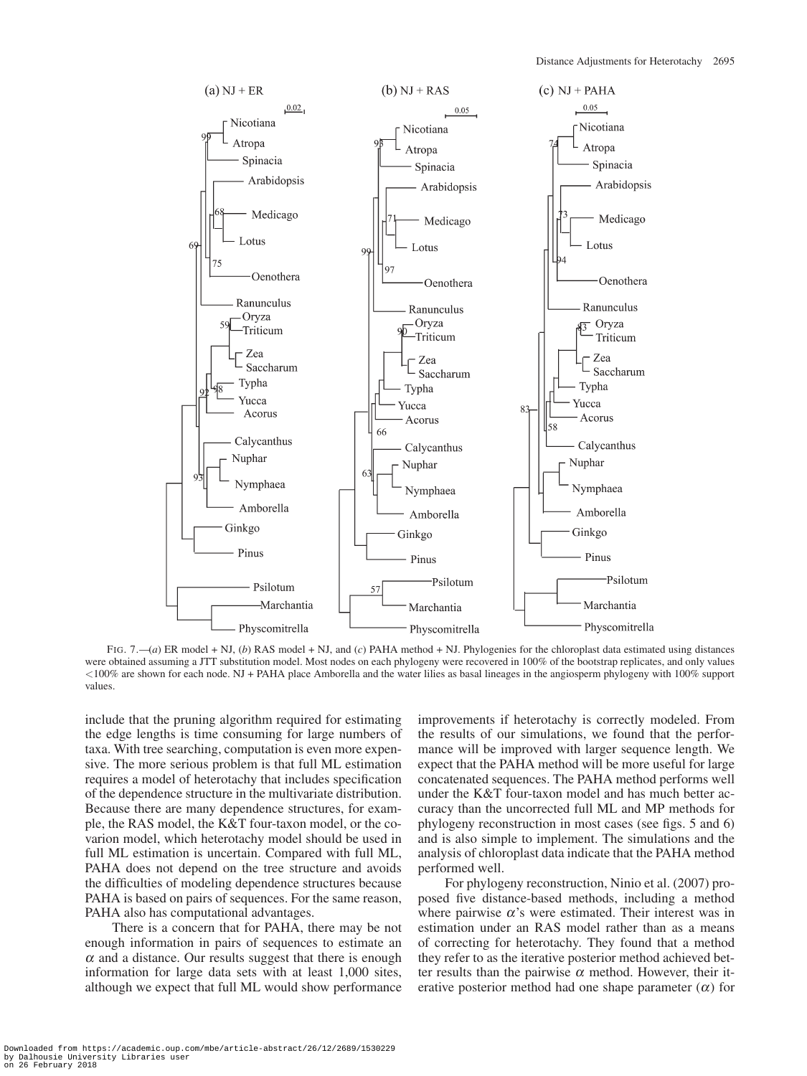

FIG. 7.—(*a*) ER model + NJ, (*b*) RAS model + NJ, and (*c*) PAHA method + NJ. Phylogenies for the chloroplast data estimated using distances were obtained assuming a JTT substitution model. Most nodes on each phylogeny were recovered in 100% of the bootstrap replicates, and only values <100% are shown for each node. NJ + PAHA place Amborella and the water lilies as basal lineages in the angiosperm phylogeny with 100% support values.

include that the pruning algorithm required for estimating the edge lengths is time consuming for large numbers of taxa. With tree searching, computation is even more expensive. The more serious problem is that full ML estimation requires a model of heterotachy that includes specification of the dependence structure in the multivariate distribution. Because there are many dependence structures, for example, the RAS model, the K&T four-taxon model, or the covarion model, which heterotachy model should be used in full ML estimation is uncertain. Compared with full ML, PAHA does not depend on the tree structure and avoids the difficulties of modeling dependence structures because PAHA is based on pairs of sequences. For the same reason, PAHA also has computational advantages.

There is a concern that for PAHA, there may be not enough information in pairs of sequences to estimate an  $\alpha$  and a distance. Our results suggest that there is enough information for large data sets with at least 1,000 sites, although we expect that full ML would show performance

improvements if heterotachy is correctly modeled. From the results of our simulations, we found that the performance will be improved with larger sequence length. We expect that the PAHA method will be more useful for large concatenated sequences. The PAHA method performs well under the K&T four-taxon model and has much better accuracy than the uncorrected full ML and MP methods for phylogeny reconstruction in most cases (see figs. 5 and 6) and is also simple to implement. The simulations and the analysis of chloroplast data indicate that the PAHA method performed well.

For phylogeny reconstruction, Ninio et al. (2007) proposed five distance-based methods, including a method where pairwise  $\alpha$ 's were estimated. Their interest was in estimation under an RAS model rather than as a means of correcting for heterotachy. They found that a method they refer to as the iterative posterior method achieved better results than the pairwise  $\alpha$  method. However, their iterative posterior method had one shape parameter  $(\alpha)$  for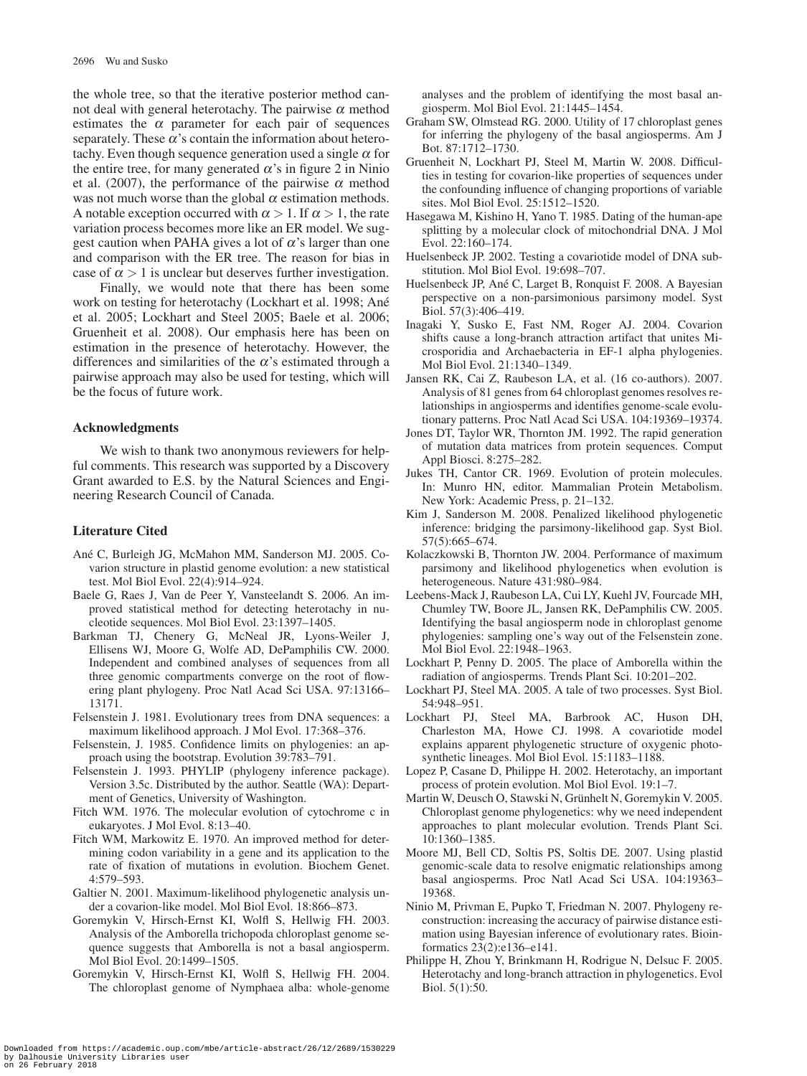the whole tree, so that the iterative posterior method cannot deal with general heterotachy. The pairwise  $α$  method estimates the  $\alpha$  parameter for each pair of sequences separately. These  $\alpha$ 's contain the information about heterotachy. Even though sequence generation used a single  $\alpha$  for the entire tree, for many generated  $\alpha$ 's in figure 2 in Ninio et al. (2007), the performance of the pairwise  $\alpha$  method was not much worse than the global  $\alpha$  estimation methods. A notable exception occurred with  $\alpha > 1$ . If  $\alpha > 1$ , the rate variation process becomes more like an ER model. We suggest caution when PAHA gives a lot of  $\alpha$ 's larger than one and comparison with the ER tree. The reason for bias in case of  $\alpha > 1$  is unclear but deserves further investigation.

Finally, we would note that there has been some work on testing for heterotachy (Lockhart et al. 1998; Ané et al. 2005; Lockhart and Steel 2005; Baele et al. 2006; Gruenheit et al. 2008). Our emphasis here has been on estimation in the presence of heterotachy. However, the differences and similarities of the  $\alpha$ 's estimated through a pairwise approach may also be used for testing, which will be the focus of future work.

## **Acknowledgments**

We wish to thank two anonymous reviewers for helpful comments. This research was supported by a Discovery Grant awarded to E.S. by the Natural Sciences and Engineering Research Council of Canada.

# **Literature Cited**

- Ané C, Burleigh JG, McMahon MM, Sanderson MJ. 2005. Covarion structure in plastid genome evolution: a new statistical test. Mol Biol Evol. 22(4):914–924.
- Baele G, Raes J, Van de Peer Y, Vansteelandt S. 2006. An improved statistical method for detecting heterotachy in nucleotide sequences. Mol Biol Evol. 23:1397–1405.
- Barkman TJ, Chenery G, McNeal JR, Lyons-Weiler J, Ellisens WJ, Moore G, Wolfe AD, DePamphilis CW. 2000. Independent and combined analyses of sequences from all three genomic compartments converge on the root of flowering plant phylogeny. Proc Natl Acad Sci USA. 97:13166– 13171.
- Felsenstein J. 1981. Evolutionary trees from DNA sequences: a maximum likelihood approach. J Mol Evol. 17:368–376.
- Felsenstein, J. 1985. Confidence limits on phylogenies: an approach using the bootstrap. Evolution 39:783–791.
- Felsenstein J. 1993. PHYLIP (phylogeny inference package). Version 3.5c. Distributed by the author. Seattle (WA): Department of Genetics, University of Washington.
- Fitch WM. 1976. The molecular evolution of cytochrome c in eukaryotes. J Mol Evol. 8:13–40.
- Fitch WM, Markowitz E. 1970. An improved method for determining codon variability in a gene and its application to the rate of fixation of mutations in evolution. Biochem Genet. 4:579–593.
- Galtier N. 2001. Maximum-likelihood phylogenetic analysis under a covarion-like model. Mol Biol Evol. 18:866–873.
- Goremykin V, Hirsch-Ernst KI, Wolfl S, Hellwig FH. 2003. Analysis of the Amborella trichopoda chloroplast genome sequence suggests that Amborella is not a basal angiosperm. Mol Biol Evol. 20:1499–1505.
- Goremykin V, Hirsch-Ernst KI, Wolfl S, Hellwig FH. 2004. The chloroplast genome of Nymphaea alba: whole-genome

analyses and the problem of identifying the most basal angiosperm. Mol Biol Evol. 21:1445–1454.

- Graham SW, Olmstead RG. 2000. Utility of 17 chloroplast genes for inferring the phylogeny of the basal angiosperms. Am J Bot. 87:1712–1730.
- Gruenheit N, Lockhart PJ, Steel M, Martin W. 2008. Difficulties in testing for covarion-like properties of sequences under the confounding influence of changing proportions of variable sites. Mol Biol Evol. 25:1512–1520.
- Hasegawa M, Kishino H, Yano T. 1985. Dating of the human-ape splitting by a molecular clock of mitochondrial DNA. J Mol Evol. 22:160–174.
- Huelsenbeck JP. 2002. Testing a covariotide model of DNA substitution. Mol Biol Evol. 19:698–707.
- Huelsenbeck JP, Ané C, Larget B, Ronquist F. 2008. A Bayesian perspective on a non-parsimonious parsimony model. Syst Biol. 57(3):406–419.
- Inagaki Y, Susko E, Fast NM, Roger AJ. 2004. Covarion shifts cause a long-branch attraction artifact that unites Microsporidia and Archaebacteria in EF-1 alpha phylogenies. Mol Biol Evol. 21:1340–1349.
- Jansen RK, Cai Z, Raubeson LA, et al. (16 co-authors). 2007. Analysis of 81 genes from 64 chloroplast genomes resolves relationships in angiosperms and identifies genome-scale evolutionary patterns. Proc Natl Acad Sci USA. 104:19369–19374.
- Jones DT, Taylor WR, Thornton JM. 1992. The rapid generation of mutation data matrices from protein sequences. Comput Appl Biosci. 8:275–282.
- Jukes TH, Cantor CR. 1969. Evolution of protein molecules. In: Munro HN, editor. Mammalian Protein Metabolism. New York: Academic Press, p. 21–132.
- Kim J, Sanderson M. 2008. Penalized likelihood phylogenetic inference: bridging the parsimony-likelihood gap. Syst Biol. 57(5):665–674.
- Kolaczkowski B, Thornton JW. 2004. Performance of maximum parsimony and likelihood phylogenetics when evolution is heterogeneous. Nature 431:980–984.
- Leebens-Mack J, Raubeson LA, Cui LY, Kuehl JV, Fourcade MH, Chumley TW, Boore JL, Jansen RK, DePamphilis CW. 2005. Identifying the basal angiosperm node in chloroplast genome phylogenies: sampling one's way out of the Felsenstein zone. Mol Biol Evol. 22:1948–1963.
- Lockhart P, Penny D. 2005. The place of Amborella within the radiation of angiosperms. Trends Plant Sci. 10:201–202.
- Lockhart PJ, Steel MA. 2005. A tale of two processes. Syst Biol. 54:948–951.
- Lockhart PJ, Steel MA, Barbrook AC, Huson DH, Charleston MA, Howe CJ. 1998. A covariotide model explains apparent phylogenetic structure of oxygenic photosynthetic lineages. Mol Biol Evol. 15:1183–1188.
- Lopez P, Casane D, Philippe H. 2002. Heterotachy, an important process of protein evolution. Mol Biol Evol. 19:1–7.
- Martin W, Deusch O, Stawski N, Grünhelt N, Goremykin V. 2005. Chloroplast genome phylogenetics: why we need independent approaches to plant molecular evolution. Trends Plant Sci. 10:1360–1385.
- Moore MJ, Bell CD, Soltis PS, Soltis DE. 2007. Using plastid genomic-scale data to resolve enigmatic relationships among basal angiosperms. Proc Natl Acad Sci USA. 104:19363– 19368.
- Ninio M, Privman E, Pupko T, Friedman N. 2007. Phylogeny reconstruction: increasing the accuracy of pairwise distance estimation using Bayesian inference of evolutionary rates. Bioinformatics 23(2):e136–e141.
- Philippe H, Zhou Y, Brinkmann H, Rodrigue N, Delsuc F. 2005. Heterotachy and long-branch attraction in phylogenetics. Evol Biol. 5(1):50.